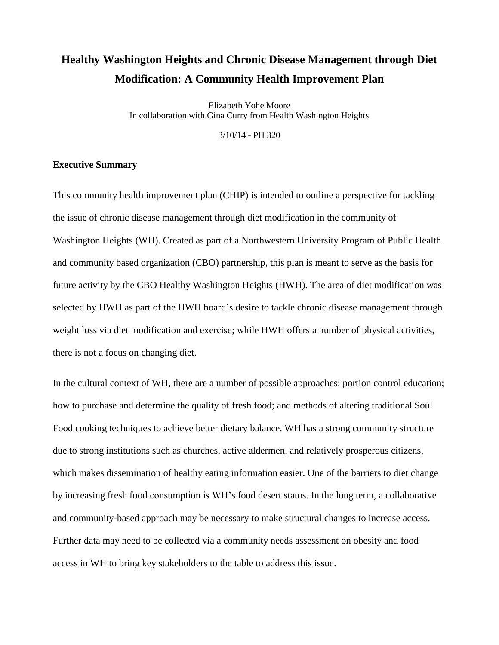# **Healthy Washington Heights and Chronic Disease Management through Diet Modification: A Community Health Improvement Plan**

Elizabeth Yohe Moore In collaboration with Gina Curry from Health Washington Heights

3/10/14 - PH 320

## **Executive Summary**

This community health improvement plan (CHIP) is intended to outline a perspective for tackling the issue of chronic disease management through diet modification in the community of Washington Heights (WH). Created as part of a Northwestern University Program of Public Health and community based organization (CBO) partnership, this plan is meant to serve as the basis for future activity by the CBO Healthy Washington Heights (HWH). The area of diet modification was selected by HWH as part of the HWH board's desire to tackle chronic disease management through weight loss via diet modification and exercise; while HWH offers a number of physical activities, there is not a focus on changing diet.

In the cultural context of WH, there are a number of possible approaches: portion control education; how to purchase and determine the quality of fresh food; and methods of altering traditional Soul Food cooking techniques to achieve better dietary balance. WH has a strong community structure due to strong institutions such as churches, active aldermen, and relatively prosperous citizens, which makes dissemination of healthy eating information easier. One of the barriers to diet change by increasing fresh food consumption is WH's food desert status. In the long term, a collaborative and community-based approach may be necessary to make structural changes to increase access. Further data may need to be collected via a community needs assessment on obesity and food access in WH to bring key stakeholders to the table to address this issue.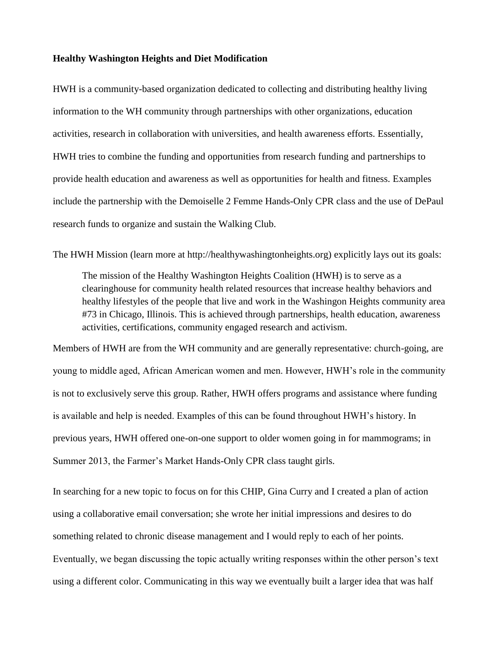#### **Healthy Washington Heights and Diet Modification**

HWH is a community-based organization dedicated to collecting and distributing healthy living information to the WH community through partnerships with other organizations, education activities, research in collaboration with universities, and health awareness efforts. Essentially, HWH tries to combine the funding and opportunities from research funding and partnerships to provide health education and awareness as well as opportunities for health and fitness. Examples include the partnership with the Demoiselle 2 Femme Hands-Only CPR class and the use of DePaul research funds to organize and sustain the Walking Club.

The HWH Mission (learn more at http://healthywashingtonheights.org) explicitly lays out its goals:

The mission of the Healthy Washington Heights Coalition (HWH) is to serve as a clearinghouse for community health related resources that increase healthy behaviors and healthy lifestyles of the people that live and work in the Washingon Heights community area #73 in Chicago, Illinois. This is achieved through partnerships, health education, awareness activities, certifications, community engaged research and activism.

Members of HWH are from the WH community and are generally representative: church-going, are young to middle aged, African American women and men. However, HWH's role in the community is not to exclusively serve this group. Rather, HWH offers programs and assistance where funding is available and help is needed. Examples of this can be found throughout HWH's history. In previous years, HWH offered one-on-one support to older women going in for mammograms; in Summer 2013, the Farmer's Market Hands-Only CPR class taught girls.

In searching for a new topic to focus on for this CHIP, Gina Curry and I created a plan of action using a collaborative email conversation; she wrote her initial impressions and desires to do something related to chronic disease management and I would reply to each of her points. Eventually, we began discussing the topic actually writing responses within the other person's text using a different color. Communicating in this way we eventually built a larger idea that was half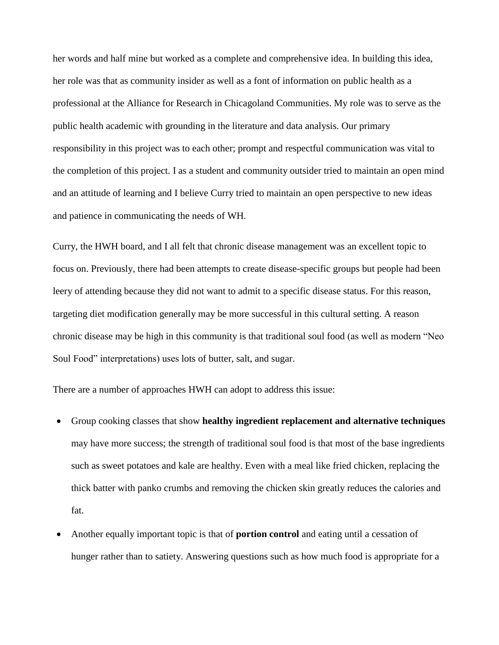her words and half mine but worked as a complete and comprehensive idea. In building this idea, her role was that as community insider as well as a font of information on public health as a professional at the Alliance for Research in Chicagoland Communities. My role was to serve as the public health academic with grounding in the literature and data analysis. Our primary responsibility in this project was to each other; prompt and respectful communication was vital to the completion of this project. I as a student and community outsider tried to maintain an open mind and an attitude of learning and I believe Curry tried to maintain an open perspective to new ideas and patience in communicating the needs of WH.

Curry, the HWH board, and I all felt that chronic disease management was an excellent topic to focus on. Previously, there had been attempts to create disease-specific groups but people had been leery of attending because they did not want to admit to a specific disease status. For this reason, targeting diet modification generally may be more successful in this cultural setting. A reason chronic disease may be high in this community is that traditional soul food (as well as modern "Neo Soul Food" interpretations) uses lots of butter, salt, and sugar.

There are a number of approaches HWH can adopt to address this issue:

- Group cooking classes that show **healthy ingredient replacement and alternative techniques**  may have more success; the strength of traditional soul food is that most of the base ingredients such as sweet potatoes and kale are healthy. Even with a meal like fried chicken, replacing the thick batter with panko crumbs and removing the chicken skin greatly reduces the calories and fat.
- Another equally important topic is that of **portion control** and eating until a cessation of hunger rather than to satiety. Answering questions such as how much food is appropriate for a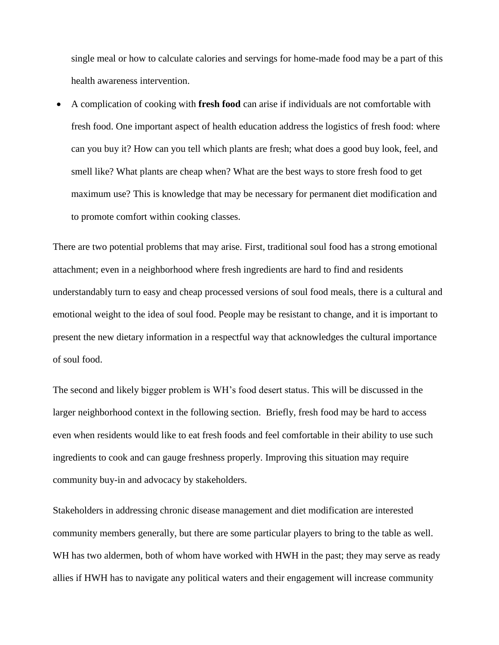single meal or how to calculate calories and servings for home-made food may be a part of this health awareness intervention.

 A complication of cooking with **fresh food** can arise if individuals are not comfortable with fresh food. One important aspect of health education address the logistics of fresh food: where can you buy it? How can you tell which plants are fresh; what does a good buy look, feel, and smell like? What plants are cheap when? What are the best ways to store fresh food to get maximum use? This is knowledge that may be necessary for permanent diet modification and to promote comfort within cooking classes.

There are two potential problems that may arise. First, traditional soul food has a strong emotional attachment; even in a neighborhood where fresh ingredients are hard to find and residents understandably turn to easy and cheap processed versions of soul food meals, there is a cultural and emotional weight to the idea of soul food. People may be resistant to change, and it is important to present the new dietary information in a respectful way that acknowledges the cultural importance of soul food.

The second and likely bigger problem is WH's food desert status. This will be discussed in the larger neighborhood context in the following section. Briefly, fresh food may be hard to access even when residents would like to eat fresh foods and feel comfortable in their ability to use such ingredients to cook and can gauge freshness properly. Improving this situation may require community buy-in and advocacy by stakeholders.

Stakeholders in addressing chronic disease management and diet modification are interested community members generally, but there are some particular players to bring to the table as well. WH has two aldermen, both of whom have worked with HWH in the past; they may serve as ready allies if HWH has to navigate any political waters and their engagement will increase community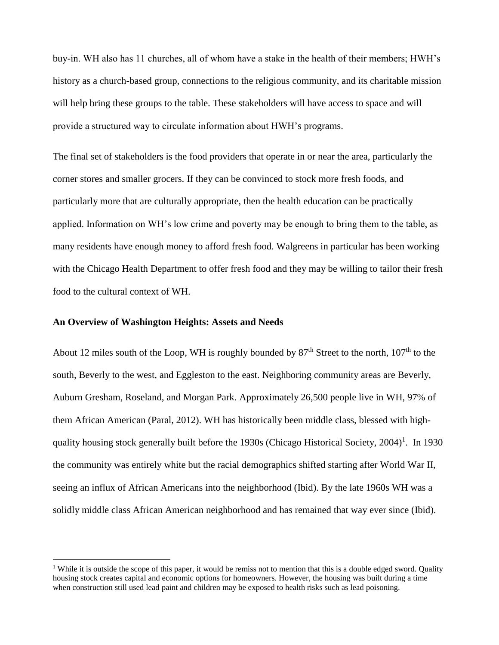buy-in. WH also has 11 churches, all of whom have a stake in the health of their members; HWH's history as a church-based group, connections to the religious community, and its charitable mission will help bring these groups to the table. These stakeholders will have access to space and will provide a structured way to circulate information about HWH's programs.

The final set of stakeholders is the food providers that operate in or near the area, particularly the corner stores and smaller grocers. If they can be convinced to stock more fresh foods, and particularly more that are culturally appropriate, then the health education can be practically applied. Information on WH's low crime and poverty may be enough to bring them to the table, as many residents have enough money to afford fresh food. Walgreens in particular has been working with the Chicago Health Department to offer fresh food and they may be willing to tailor their fresh food to the cultural context of WH.

#### **An Overview of Washington Heights: Assets and Needs**

 $\overline{a}$ 

About 12 miles south of the Loop, WH is roughly bounded by  $87<sup>th</sup>$  Street to the north,  $107<sup>th</sup>$  to the south, Beverly to the west, and Eggleston to the east. Neighboring community areas are Beverly, Auburn Gresham, Roseland, and Morgan Park. Approximately 26,500 people live in WH, 97% of them African American (Paral, 2012). WH has historically been middle class, blessed with highquality housing stock generally built before the 1930s (Chicago Historical Society, 2004)<sup>1</sup>. In 1930 the community was entirely white but the racial demographics shifted starting after World War II, seeing an influx of African Americans into the neighborhood (Ibid). By the late 1960s WH was a solidly middle class African American neighborhood and has remained that way ever since (Ibid).

<sup>&</sup>lt;sup>1</sup> While it is outside the scope of this paper, it would be remiss not to mention that this is a double edged sword. Quality housing stock creates capital and economic options for homeowners. However, the housing was built during a time when construction still used lead paint and children may be exposed to health risks such as lead poisoning.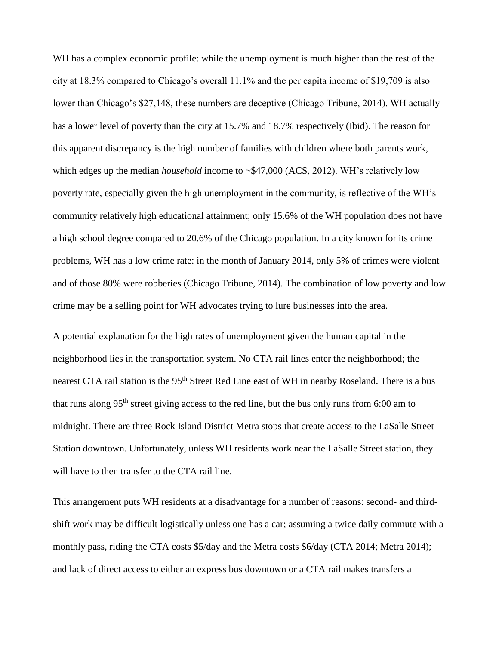WH has a complex economic profile: while the unemployment is much higher than the rest of the city at 18.3% compared to Chicago's overall 11.1% and the per capita income of \$19,709 is also lower than Chicago's \$27,148, these numbers are deceptive (Chicago Tribune, 2014). WH actually has a lower level of poverty than the city at 15.7% and 18.7% respectively (Ibid). The reason for this apparent discrepancy is the high number of families with children where both parents work, which edges up the median *household* income to ~\$47,000 (ACS, 2012). WH's relatively low poverty rate, especially given the high unemployment in the community, is reflective of the WH's community relatively high educational attainment; only 15.6% of the WH population does not have a high school degree compared to 20.6% of the Chicago population. In a city known for its crime problems, WH has a low crime rate: in the month of January 2014, only 5% of crimes were violent and of those 80% were robberies (Chicago Tribune, 2014). The combination of low poverty and low crime may be a selling point for WH advocates trying to lure businesses into the area.

A potential explanation for the high rates of unemployment given the human capital in the neighborhood lies in the transportation system. No CTA rail lines enter the neighborhood; the nearest CTA rail station is the 95<sup>th</sup> Street Red Line east of WH in nearby Roseland. There is a bus that runs along 95th street giving access to the red line, but the bus only runs from 6:00 am to midnight. There are three Rock Island District Metra stops that create access to the LaSalle Street Station downtown. Unfortunately, unless WH residents work near the LaSalle Street station, they will have to then transfer to the CTA rail line.

This arrangement puts WH residents at a disadvantage for a number of reasons: second- and thirdshift work may be difficult logistically unless one has a car; assuming a twice daily commute with a monthly pass, riding the CTA costs \$5/day and the Metra costs \$6/day (CTA 2014; Metra 2014); and lack of direct access to either an express bus downtown or a CTA rail makes transfers a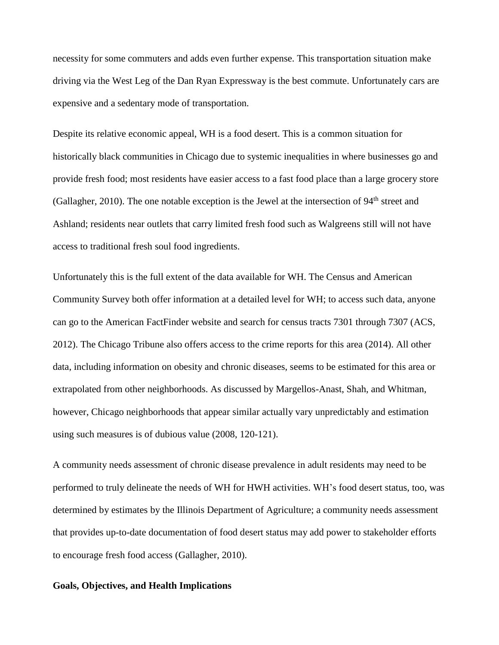necessity for some commuters and adds even further expense. This transportation situation make driving via the West Leg of the Dan Ryan Expressway is the best commute. Unfortunately cars are expensive and a sedentary mode of transportation.

Despite its relative economic appeal, WH is a food desert. This is a common situation for historically black communities in Chicago due to systemic inequalities in where businesses go and provide fresh food; most residents have easier access to a fast food place than a large grocery store (Gallagher, 2010). The one notable exception is the Jewel at the intersection of  $94<sup>th</sup>$  street and Ashland; residents near outlets that carry limited fresh food such as Walgreens still will not have access to traditional fresh soul food ingredients.

Unfortunately this is the full extent of the data available for WH. The Census and American Community Survey both offer information at a detailed level for WH; to access such data, anyone can go to the American FactFinder website and search for census tracts 7301 through 7307 (ACS, 2012). The Chicago Tribune also offers access to the crime reports for this area (2014). All other data, including information on obesity and chronic diseases, seems to be estimated for this area or extrapolated from other neighborhoods. As discussed by Margellos-Anast, Shah, and Whitman, however, Chicago neighborhoods that appear similar actually vary unpredictably and estimation using such measures is of dubious value (2008, 120-121).

A community needs assessment of chronic disease prevalence in adult residents may need to be performed to truly delineate the needs of WH for HWH activities. WH's food desert status, too, was determined by estimates by the Illinois Department of Agriculture; a community needs assessment that provides up-to-date documentation of food desert status may add power to stakeholder efforts to encourage fresh food access (Gallagher, 2010).

## **Goals, Objectives, and Health Implications**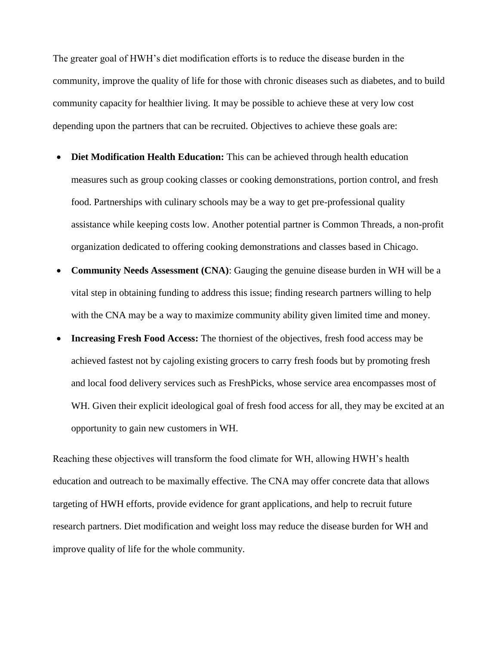The greater goal of HWH's diet modification efforts is to reduce the disease burden in the community, improve the quality of life for those with chronic diseases such as diabetes, and to build community capacity for healthier living. It may be possible to achieve these at very low cost depending upon the partners that can be recruited. Objectives to achieve these goals are:

- Diet Modification Health Education: This can be achieved through health education measures such as group cooking classes or cooking demonstrations, portion control, and fresh food. Partnerships with culinary schools may be a way to get pre-professional quality assistance while keeping costs low. Another potential partner is Common Threads, a non-profit organization dedicated to offering cooking demonstrations and classes based in Chicago.
- **Community Needs Assessment (CNA)**: Gauging the genuine disease burden in WH will be a vital step in obtaining funding to address this issue; finding research partners willing to help with the CNA may be a way to maximize community ability given limited time and money.
- **Increasing Fresh Food Access:** The thorniest of the objectives, fresh food access may be achieved fastest not by cajoling existing grocers to carry fresh foods but by promoting fresh and local food delivery services such as FreshPicks, whose service area encompasses most of WH. Given their explicit ideological goal of fresh food access for all, they may be excited at an opportunity to gain new customers in WH.

Reaching these objectives will transform the food climate for WH, allowing HWH's health education and outreach to be maximally effective. The CNA may offer concrete data that allows targeting of HWH efforts, provide evidence for grant applications, and help to recruit future research partners. Diet modification and weight loss may reduce the disease burden for WH and improve quality of life for the whole community.